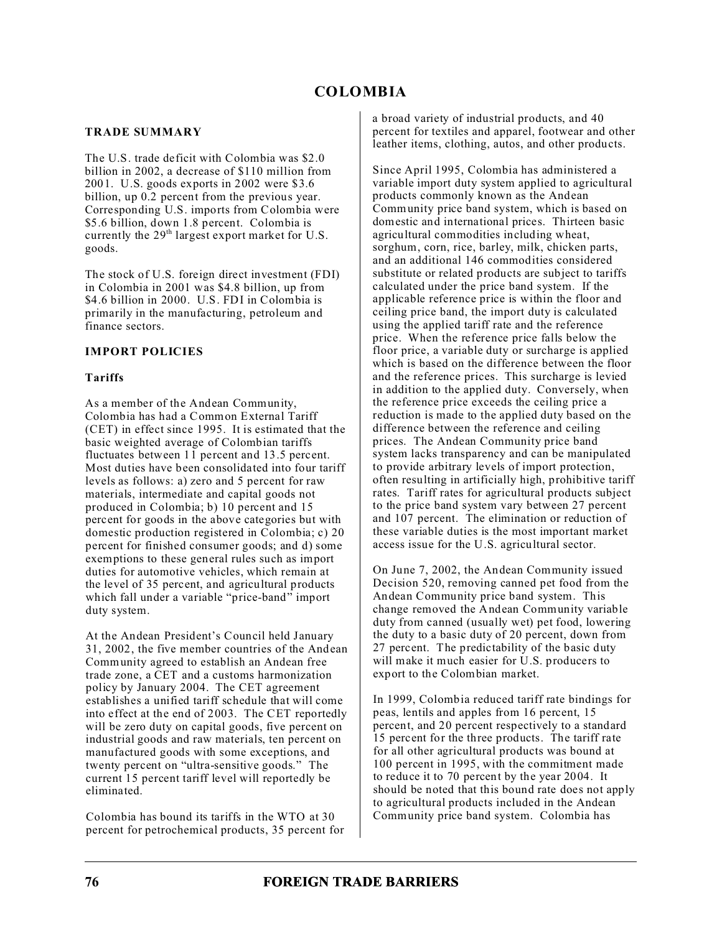### **TRADE SUMMARY**

The U.S. trade deficit with Colombia was \$2.0 billion in 2002, a decrease of \$110 million from 2001. U.S. goods exports in 2002 were \$3.6 billion, up 0.2 percent from the previous year. Corresponding U.S. imports from Colombia were \$5.6 billion, down 1.8 percent. Colombia is currently the  $29<sup>th</sup>$  largest export market for U.S. goods.

The stock of U.S. foreign direct investment (FDI) in Colombia in 2001 was \$4.8 billion, up from \$4.6 billion in 2000. U.S. FDI in Colombia is primarily in the manufacturing, petroleum and finance sectors.

### **IMPORT POLICIES**

### **Tariffs**

As a member of the Andean Community, Colombia has had a Common External Tariff (CET) in effect since 1995. It is estimated that the basic weighted average of Colombian tariffs fluctuates between 11 percent and 13.5 percent. Most duties have been consolidated into four tariff levels as follows: a) zero and 5 percent for raw materials, intermediate and capital goods not produced in Colombia; b) 10 percent and 15 percent for goods in the above categories but with domestic production registered in Colombia; c) 20 percent for finished consumer goods; and d) some exemptions to these general rules such as import duties for automotive vehicles, which remain at the level of 35 percent, and agricultural products which fall under a variable "price-band" import duty system.

At the Andean President's Council held January 31, 2002, the five member countries of the Andean Community agreed to establish an Andean free trade zone, a CET and a customs harmonization policy by January 2004. The CET agreement establishes a unified tariff schedule that will come into effect at the end of 2003. The CET reportedly will be zero duty on capital goods, five percent on industrial goods and raw materials, ten percent on manufactured goods with some exceptions, and twenty percent on "ultra-sensitive goods." The current 15 percent tariff level will reportedly be eliminated.

Colombia has bound its tariffs in the WTO at 30 percent for petrochemical products, 35 percent for a broad variety of industrial products, and 40 percent for textiles and apparel, footwear and other leather items, clothing, autos, and other products.

Since April 1995, Colombia has administered a variable import duty system applied to agricultural products commonly known as the Andean Community price band system, which is based on domestic and international prices. Thirteen basic agricultural commodities including wheat, sorghum, corn, rice, barley, milk, chicken parts, and an additional 146 commodities considered substitute or related products are subject to tariffs calculated under the price band system. If the applicable reference price is within the floor and ceiling price band, the import duty is calculated using the applied tariff rate and the reference price. When the reference price falls below the floor price, a variable duty or surcharge is applied which is based on the difference between the floor and the reference prices. This surcharge is levied in addition to the applied duty. Conversely, when the reference price exceeds the ceiling price a reduction is made to the applied duty based on the difference between the reference and ceiling prices. The Andean Community price band system lacks transparency and can be manipulated to provide arbitrary levels of import protection, often resulting in artificially high, prohibitive tariff rates. Tariff rates for agricultural products subject to the price band system vary between 27 percent and 107 percent. The elimination or reduction of these variable duties is the most important market access issue for the U.S. agricultural sector.

On June 7, 2002, the Andean Community issued Decision 520, removing canned pet food from the Andean Community price band system. This change removed the Andean Community variable duty from canned (usually wet) pet food, lowering the duty to a basic duty of 20 percent, down from 27 percent. The predictability of the basic duty will make it much easier for U.S. producers to export to the Colombian market.

In 1999, Colombia reduced tariff rate bindings for peas, lentils and apples from 16 percent, 15 percent, and 20 percent respectively to a standard 15 percent for the three products. The tariff rate for all other agricultural products was bound at 100 percent in 1995, with the commitment made to reduce it to 70 percent by the year 2004. It should be noted that this bound rate does not apply to agricultural products included in the Andean Community price band system. Colombia has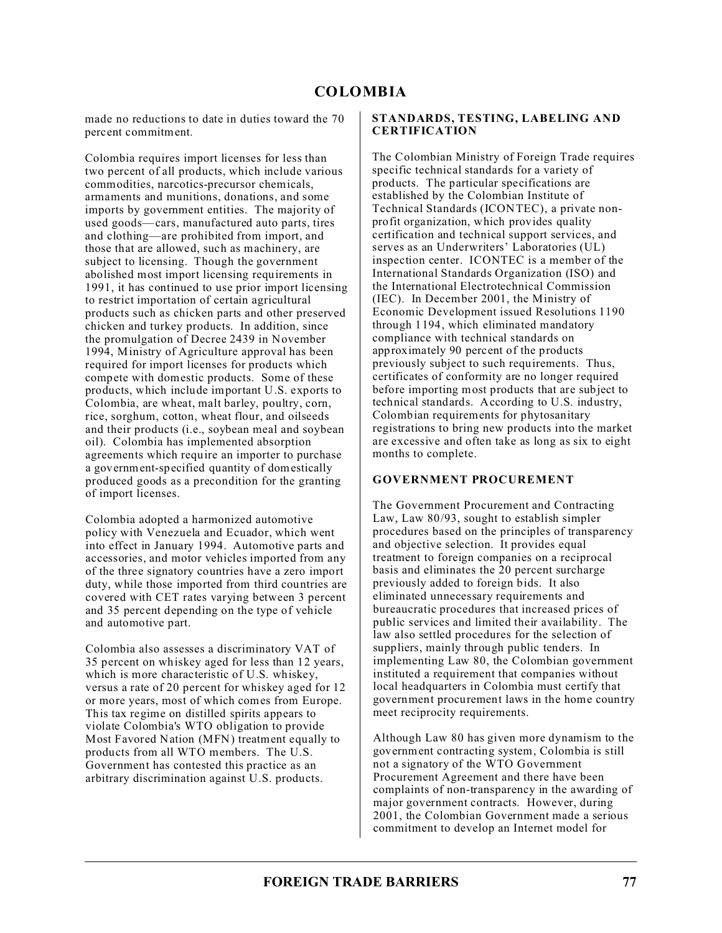made no reductions to date in duties toward the 70 percent commitment.

Colombia requires import licenses for less than two percent of all products, which include various commodities, narcotics-precursor chemicals, armaments and munitions, donations, and some imports by government entities. The majority of used goods—cars, manufactured auto parts, tires and clothing—are prohibited from import, and those that are allowed, such as machinery, are subject to licensing.Though the government abolished most import licensing requirements in 1991, it has continued to use prior import licensing to restrict importation of certain agricultural products such as chicken parts and other preserved chicken and turkey products. In addition, since the promulgation of Decree 2439 in November 1994, Ministry of Agriculture approval has been required for import licenses for products which compete with domestic products. Some of these products, which include important U.S. exports to Colombia, are wheat, malt barley, poultry, corn, rice, sorghum, cotton, wheat flour, and oilseeds and their products (i.e., soybean meal and soybean oil). Colombia has implemented absorption agreements which require an importer to purchase a government-specified quantity of domestically produced goods as a precondition for the granting of import licenses.

Colombia adopted a harmonized automotive policy with Venezuela and Ecuador, which went into effect in January 1994. Automotive parts and accessories, and motor vehicles imported from any of the three signatory countries have a zero import duty, while those imported from third countries are covered with CET rates varying between 3 percent and 35 percent depending on the type of vehicle and automotive part.

Colombia also assesses a discriminatory VAT of 35 percent on whiskey aged for less than 12 years, which is more characteristic of U.S. whiskey, versus a rate of 20 percent for whiskey aged for 12 or more years, most of which comes from Europe. This tax regime on distilled spirits appears to violate Colombia's WTO obligation to provide Most Favored Nation (MFN) treatment equally to products from all WTO members.The U.S. Government has contested this practice as an arbitrary discrimination against U.S. products.

#### **STANDARDS, TESTING, LABELING AND CERTIFICATION**

The Colombian Ministry of Foreign Trade requires specific technical standards for a variety of products. The particular specifications are established by the Colombian Institute of Technical Standards (ICONTEC), a private nonprofit organization, which provides quality certification and technical support services, and serves as an Underwriters' Laboratories (UL) inspection center. ICONTEC is a member of the International Standards Organization (ISO) and the International Electrotechnical Commission (IEC). In December 2001, the Ministry of Economic Development issued Resolutions 1190 through 1194, which eliminated mandatory compliance with technical standards on approximately 90 percent of the products previously subject to such requirements. Thus, certificates of conformity are no longer required before importing most products that are subject to technical standards. According to U.S. industry, Colombian requirements for phytosanitary registrations to bring new products into the market are excessive and often take as long as six to eight months to complete.

### **GOVERNMENT PROCUREMENT**

The Government Procurement and Contracting Law, Law 80/93, sought to establish simpler procedures based on the principles of transparency and objective selection. It provides equal treatment to foreign companies on a reciprocal basis and eliminates the 20 percent surcharge previously added to foreign bids. It also eliminated unnecessary requirements and bureaucratic procedures that increased prices of public services and limited their availability. The law also settled procedures for the selection of suppliers, mainly through public tenders. In implementing Law 80, the Colombian government instituted a requirement that companies without local headquarters in Colombia must certify that government procurement laws in the home country meet reciprocity requirements.

Although Law 80 has given more dynamism to the government contracting system, Colombia is still not a signatory of the WTO Government Procurement Agreement and there have been complaints of non-transparency in the awarding of major government contracts. However, during 2001, the Colombian Government made a serious commitment to develop an Internet model for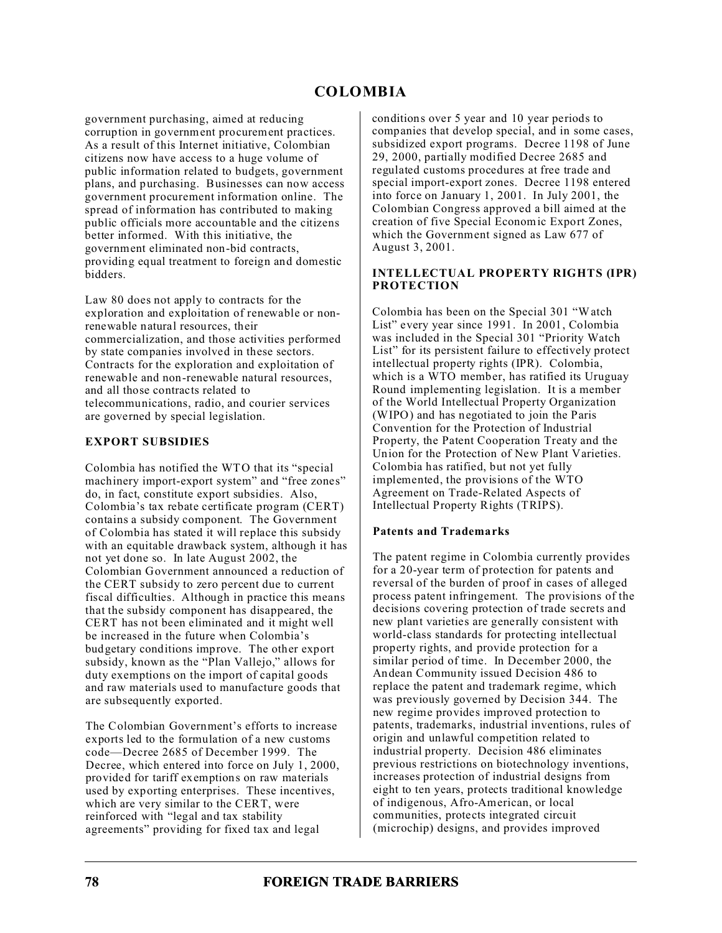government purchasing, aimed at reducing corruption in government procurement practices. As a result of this Internet initiative, Colombian citizens now have access to a huge volume of public information related to budgets, government plans, and purchasing. Businesses can now access government procurement information online. The spread of information has contributed to making public officials more accountable and the citizens better informed. With this initiative, the government eliminated non-bid contracts, providing equal treatment to foreign and domestic bidders.

Law 80 does not apply to contracts for the exploration and exploitation of renewable or nonrenewable natural resources, their commercialization, and those activities performed by state companies involved in these sectors. Contracts for the exploration and exploitation of renewable and non-renewable natural resources, and all those contracts related to telecommunications, radio, and courier services are governed by special legislation.

#### **EXPORT SUBSIDIES**

Colombia has notified the WTO that its "special machinery import-export system" and "free zones" do, in fact, constitute export subsidies. Also, Colombia's tax rebate certificate program (CERT) contains a subsidy component. The Government of Colombia has stated it will replace this subsidy with an equitable drawback system, although it has not yet done so. In late August 2002, the Colombian Government announced a reduction of the CERT subsidy to zero percent due to current fiscal difficulties. Although in practice this means that the subsidy component has disappeared, the CERT has not been eliminated and it might well be increased in the future when Colombia's budgetary conditions improve. The other export subsidy, known as the "Plan Vallejo," allows for duty exemptions on the import of capital goods and raw materials used to manufacture goods that are subsequently exported.

The Colombian Government's efforts to increase exports led to the formulation of a new customs code—Decree 2685 of December 1999. The Decree, which entered into force on July 1, 2000, provided for tariff exemptions on raw materials used by exporting enterprises. These incentives, which are very similar to the CERT, were reinforced with "legal and tax stability agreements" providing for fixed tax and legal

conditions over 5 year and 10 year periods to companies that develop special, and in some cases, subsidized export programs. Decree 1198 of June 29, 2000, partially modified Decree 2685 and regulated customs procedures at free trade and special import-export zones. Decree 1198 entered into force on January 1, 2001. In July 2001, the Colombian Congress approved a bill aimed at the creation of five Special Economic Export Zones, which the Government signed as Law 677 of August 3, 2001.

### **INTELLECTUAL PROPERTY RIGHTS (IPR) PROTECTION**

Colombia has been on the Special 301 "Watch List" every year since 1991. In 2001, Colombia was included in the Special 301 "Priority Watch List" for its persistent failure to effectively protect intellectual property rights (IPR). Colombia, which is a WTO member, has ratified its Uruguay Round implementing legislation. It is a member of the World Intellectual Property Organization (WIPO) and has negotiated to join the Paris Convention for the Protection of Industrial Property, the Patent Cooperation Treaty and the Union for the Protection of New Plant Varieties. Colombia has ratified, but not yet fully implemented, the provisions of the WTO Agreement on Trade-Related Aspects of Intellectual Property Rights (TRIPS).

### **Patents and Trademarks**

The patent regime in Colombia currently provides for a 20-year term of protection for patents and reversal of the burden of proof in cases of alleged process patent infringement. The provisions of the decisions covering protection of trade secrets and new plant varieties are generally consistent with world-class standards for protecting intellectual property rights, and provide protection for a similar period of time. In December 2000, the Andean Community issued Decision 486 to replace the patent and trademark regime, which was previously governed by Decision 344. The new regime provides improved protection to patents, trademarks, industrial inventions, rules of origin and unlawful competition related to industrial property. Decision 486 eliminates previous restrictions on biotechnology inventions, increases protection of industrial designs from eight to ten years, protects traditional knowledge of indigenous, Afro-American, or local communities, protects integrated circuit (microchip) designs, and provides improved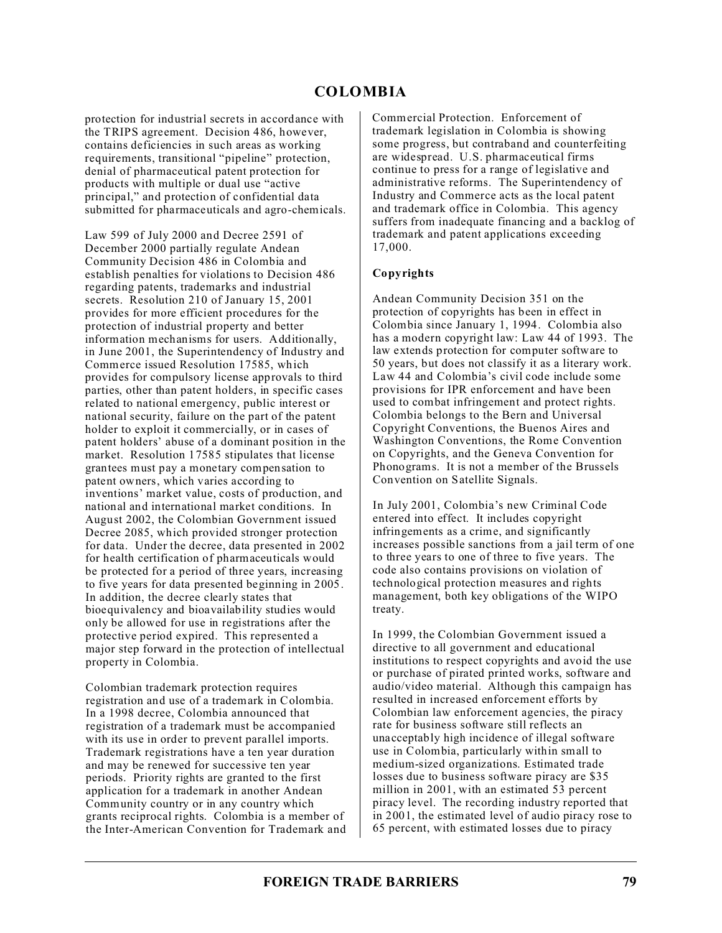protection for industrial secrets in accordance with the TRIPS agreement. Decision 486, however, contains deficiencies in such areas as working requirements, transitional "pipeline" protection, denial of pharmaceutical patent protection for products with multiple or dual use "active principal," and protection of confidential data submitted for pharmaceuticals and agro-chemicals.

Law 599 of July 2000 and Decree 2591 of December 2000 partially regulate Andean Community Decision 486 in Colombia and establish penalties for violations to Decision 486 regarding patents, trademarks and industrial secrets. Resolution 210 of January 15, 2001 provides for more efficient procedures for the protection of industrial property and better information mechanisms for users. Additionally, in June 2001, the Superintendency of Industry and Commerce issued Resolution 17585, which provides for compulsory license approvals to third parties, other than patent holders, in specific cases related to national emergency, public interest or national security, failure on the part of the patent holder to exploit it commercially, or in cases of patent holders' abuse of a dominant position in the market. Resolution 17585 stipulates that license grantees must pay a monetary compensation to patent owners, which varies according to inventions' market value, costs of production, and national and international market conditions. In August 2002, the Colombian Government issued Decree 2085, which provided stronger protection for data. Under the decree, data presented in 2002 for health certification of pharmaceuticals would be protected for a period of three years, increasing to five years for data presented beginning in 2005. In addition, the decree clearly states that bioequivalency and bioavailability studies would only be allowed for use in registrations after the protective period expired. This represented a major step forward in the protection of intellectual property in Colombia.

Colombian trademark protection requires registration and use of a trademark in Colombia. In a 1998 decree, Colombia announced that registration of a trademark must be accompanied with its use in order to prevent parallel imports. Trademark registrations have a ten year duration and may be renewed for successive ten year periods. Priority rights are granted to the first application for a trademark in another Andean Community country or in any country which grants reciprocal rights. Colombia is a member of the Inter-American Convention for Trademark and Commercial Protection. Enforcement of trademark legislation in Colombia is showing some progress, but contraband and counterfeiting are widespread. U.S. pharmaceutical firms continue to press for a range of legislative and administrative reforms. The Superintendency of Industry and Commerce acts as the local patent and trademark office in Colombia. This agency suffers from inadequate financing and a backlog of trademark and patent applications exceeding 17,000.

### **Copyrights**

Andean Community Decision 351 on the protection of copyrights has been in effect in Colombia since January 1, 1994. Colombia also has a modern copyright law: Law 44 of 1993. The law extends protection for computer software to 50 years, but does not classify it as a literary work. Law 44 and Colombia's civil code include some provisions for IPR enforcement and have been used to combat infringement and protect rights. Colombia belongs to the Bern and Universal Copyright Conventions, the Buenos Aires and Washington Conventions, the Rome Convention on Copyrights, and the Geneva Convention for Phonograms. It is not a member of the Brussels Convention on Satellite Signals.

In July 2001, Colombia's new Criminal Code entered into effect. It includes copyright infringements as a crime, and significantly increases possible sanctions from a jail term of one to three years to one of three to five years. The code also contains provisions on violation of technological protection measures and rights management, both key obligations of the WIPO treaty.

In 1999, the Colombian Government issued a directive to all government and educational institutions to respect copyrights and avoid the use or purchase of pirated printed works, software and audio/video material. Although this campaign has resulted in increased enforcement efforts by Colombian law enforcement agencies, the piracy rate for business software still reflects an unacceptably high incidence of illegal software use in Colombia, particularly within small to medium-sized organizations. Estimated trade losses due to business software piracy are \$35 million in 2001, with an estimated 53 percent piracy level. The recording industry reported that in 2001, the estimated level of audio piracy rose to 65 percent, with estimated losses due to piracy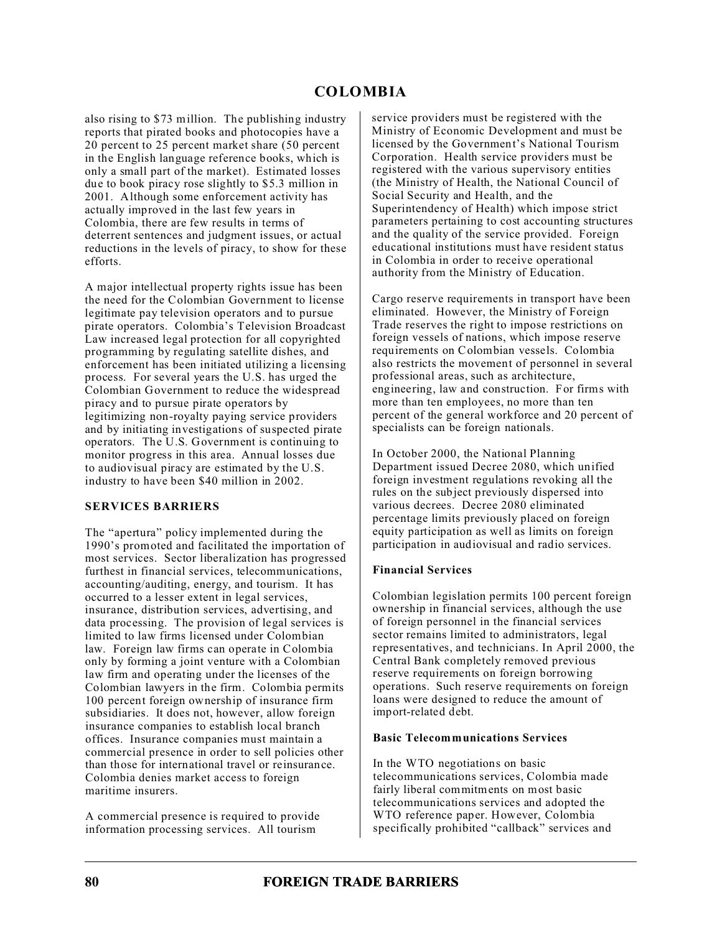also rising to \$73 million. The publishing industry reports that pirated books and photocopies have a 20 percent to 25 percent market share (50 percent in the English language reference books, which is only a small part of the market). Estimated losses due to book piracy rose slightly to \$5.3 million in 2001. Although some enforcement activity has actually improved in the last few years in Colombia, there are few results in terms of deterrent sentences and judgment issues, or actual reductions in the levels of piracy, to show for these efforts.

A major intellectual property rights issue has been the need for the Colombian Government to license legitimate pay television operators and to pursue pirate operators. Colombia's Television Broadcast Law increased legal protection for all copyrighted programming by regulating satellite dishes, and enforcement has been initiated utilizing a licensing process. For several years the U.S. has urged the Colombian Government to reduce the widespread piracy and to pursue pirate operators by legitimizing non-royalty paying service providers and by initiating investigations of suspected pirate operators. The U.S. Government is continuing to monitor progress in this area. Annual losses due to audiovisual piracy are estimated by the U.S. industry to have been \$40 million in 2002.

### **SERVICES BARRIERS**

The "apertura" policy implemented during the 1990's promoted and facilitated the importation of most services. Sector liberalization has progressed furthest in financial services, telecommunications, accounting/auditing, energy, and tourism. It has occurred to a lesser extent in legal services, insurance, distribution services, advertising, and data processing. The provision of legal services is limited to law firms licensed under Colombian law. Foreign law firms can operate in Colombia only by forming a joint venture with a Colombian law firm and operating under the licenses of the Colombian lawyers in the firm. Colombia permits 100 percent foreign ownership of insurance firm subsidiaries. It does not, however, allow foreign insurance companies to establish local branch offices. Insurance companies must maintain a commercial presence in order to sell policies other than those for international travel or reinsurance. Colombia denies market access to foreign maritime insurers.

A commercial presence is required to provide information processing services. All tourism

service providers must be registered with the Ministry of Economic Development and must be licensed by the Government's National Tourism Corporation. Health service providers must be registered with the various supervisory entities (the Ministry of Health, the National Council of Social Security and Health, and the Superintendency of Health) which impose strict parameters pertaining to cost accounting structures and the quality of the service provided. Foreign educational institutions must have resident status in Colombia in order to receive operational authority from the Ministry of Education.

Cargo reserve requirements in transport have been eliminated. However, the Ministry of Foreign Trade reserves the right to impose restrictions on foreign vessels of nations, which impose reserve requirements on Colombian vessels. Colombia also restricts the movement of personnel in several professional areas, such as architecture, engineering, law and construction. For firms with more than ten employees, no more than ten percent of the general workforce and 20 percent of specialists can be foreign nationals.

In October 2000, the National Planning Department issued Decree 2080, which unified foreign investment regulations revoking all the rules on the subject previously dispersed into various decrees. Decree 2080 eliminated percentage limits previously placed on foreign equity participation as well as limits on foreign participation in audiovisual and radio services.

### **Financial Services**

Colombian legislation permits 100 percent foreign ownership in financial services, although the use of foreign personnel in the financial services sector remains limited to administrators, legal representatives, and technicians. In April 2000, the Central Bank completely removed previous reserve requirements on foreign borrowing operations. Such reserve requirements on foreign loans were designed to reduce the amount of import-related debt.

### **Basic Telecommunications Services**

In the WTO negotiations on basic telecommunications services, Colombia made fairly liberal commitments on most basic telecommunications services and adopted the WTO reference paper. However, Colombia specifically prohibited "callback" services and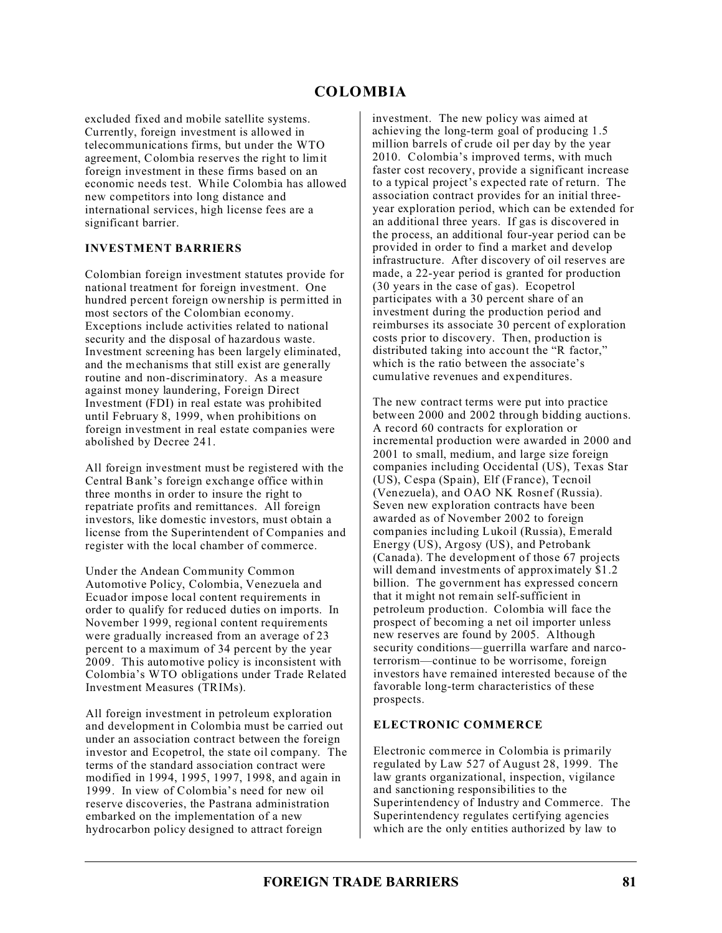excluded fixed and mobile satellite systems. Currently, foreign investment is allowed in telecommunications firms, but under the WTO agreement, Colombia reserves the right to limit foreign investment in these firms based on an economic needs test. While Colombia has allowed new competitors into long distance and international services, high license fees are a significant barrier.

### **INVESTMENT BARRIERS**

Colombian foreign investment statutes provide for national treatment for foreign investment. One hundred percent foreign ownership is permitted in most sectors of the Colombian economy. Exceptions include activities related to national security and the disposal of hazardous waste. Investment screening has been largely eliminated, and the mechanisms that still exist are generally routine and non-discriminatory. As a measure against money laundering, Foreign Direct Investment (FDI) in real estate was prohibited until February 8, 1999, when prohibitions on foreign investment in real estate companies were abolished by Decree 241.

All foreign investment must be registered with the Central Bank's foreign exchange office within three months in order to insure the right to repatriate profits and remittances. All foreign investors, like domestic investors, must obtain a license from the Superintendent of Companies and register with the local chamber of commerce.

Under the Andean Community Common Automotive Policy, Colombia, Venezuela and Ecuador impose local content requirements in order to qualify for reduced duties on imports. In November 1999, regional content requirements were gradually increased from an average of 23 percent to a maximum of 34 percent by the year 2009. This automotive policy is inconsistent with Colombia's WTO obligations under Trade Related Investment Measures (TRIMs).

All foreign investment in petroleum exploration and development in Colombia must be carried out under an association contract between the foreign investor and Ecopetrol, the state oil company. The terms of the standard association contract were modified in 1994, 1995, 1997, 1998, and again in 1999. In view of Colombia's need for new oil reserve discoveries, the Pastrana administration embarked on the implementation of a new hydrocarbon policy designed to attract foreign

investment. The new policy was aimed at achieving the long-term goal of producing 1.5 million barrels of crude oil per day by the year 2010. Colombia's improved terms, with much faster cost recovery, provide a significant increase to a typical project's expected rate of return. The association contract provides for an initial threeyear exploration period, which can be extended for an additional three years. If gas is discovered in the process, an additional four-year period can be provided in order to find a market and develop infrastructure. After discovery of oil reserves are made, a 22-year period is granted for production (30 years in the case of gas). Ecopetrol participates with a 30 percent share of an investment during the production period and reimburses its associate 30 percent of exploration costs prior to discovery. Then, production is distributed taking into account the "R factor," which is the ratio between the associate's cumulative revenues and expenditures.

The new contract terms were put into practice between 2000 and 2002 through bidding auctions. A record 60 contracts for exploration or incremental production were awarded in 2000 and 2001 to small, medium, and large size foreign companies including Occidental (US), Texas Star (US), Cespa (Spain), Elf (France), Tecnoil (Venezuela), and OAO NK Rosnef (Russia). Seven new exploration contracts have been awarded as of November 2002 to foreign companies including Lukoil (Russia), Emerald Energy (US), Argosy (US), and Petrobank (Canada). The development of those 67 projects will demand investments of approximately \$1.2 billion. The government has expressed concern that it might not remain self-sufficient in petroleum production. Colombia will face the prospect of becoming a net oil importer unless new reserves are found by 2005. Although security conditions—guerrilla warfare and narcoterrorism—continue to be worrisome, foreign investors have remained interested because of the favorable long-term characteristics of these prospects.

### **ELECTRONIC COMMERCE**

Electronic commerce in Colombia is primarily regulated by Law 527 of August 28, 1999. The law grants organizational, inspection, vigilance and sanctioning responsibilities to the Superintendency of Industry and Commerce. The Superintendency regulates certifying agencies which are the only entities authorized by law to